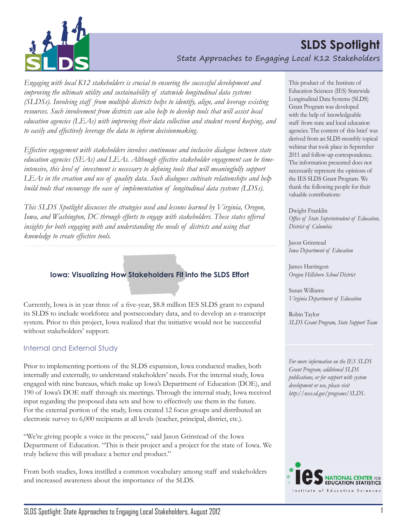

*Engaging with local K12 stakeholders is crucial to ensuring the successful development and improving the ultimate utility and sustainability of statewide longitudinal data systems (SLDSs). Involving staff from multiple districts helps to identify, align, and leverage existing resources. Such involvement from districts can also help to develop tools that will assist local education agencies (LEAs) with improving their data collection and student record keeping, and to easily and effectively leverage the data to inform decisionmaking.*

*Effective engagement with stakeholders involves continuous and inclusive dialogue between state education agencies (SEAs) and LEAs. Although effective stakeholder engagement can be timeintensive, this level of investment is necessary to defining tools that will meaningfully support LEAs in the creation and use of quality data. Such dialogues cultivate relationships and help build tools that encourage the ease of implementation of longitudinal data systems (LDSs).* 

*This SLDS Spotlight discusses the strategies used and lessons learned by Virginia, Oregon, Iowa, and Washington, DC through efforts to engage with stakeholders. These states offered*  insights for both engaging with and understanding the needs of districts and using that *knowledge to create effective tools.*

## **Iowa: Visualizing How Stakeholders Fit into the SLDS Effort**

Currently, Iowa is in year three of a five-year, \$8.8 million IES SLDS grant to expand its SLDS to include workforce and postsecondary data, and to develop an e-transcript system. Prior to this project, Iowa realized that the initiative would not be successful without stakeholders' support.

## Internal and External Study

Prior to implementing portions of the SLDS expansion, Iowa conducted studies, both internally and externally, to understand stakeholders' needs. For the internal study, Iowa engaged with nine bureaus, which make up Iowa's Department of Education (DOE), and 190 of Iowa's DOE staff through six meetings. Through the internal study, Iowa received input regarding the proposed data sets and how to effectively use them in the future. For the external portion of the study, Iowa created 12 focus groups and distributed an electronic survey to 6,000 recipients at all levels (teacher, principal, district, etc.).

"We're giving people a voice in the process," said Jason Grinstead of the Iowa Department of Education. "This is their project and a project for the state of Iowa. We truly believe this will produce a better end product."

From both studies, Iowa instilled a common vocabulary among staff and stakeholders and increased awareness about the importance of the SLDS.

This product of the Institute of Education Sciences (IES) Statewide Longitudinal Data Systems (SLDS) Grant Program was developed with the help of knowledgeable staff from state and local education agencies. The content of this brief was derived from an SLDS monthly topical webinar that took place in September 2011 and follow-up correspondence. The information presented does not necessarily represent the opinions of the IES SLDS Grant Program. We thank the following people for their valuable contributions:

Dwight Franklin *Office of State Superintendent of Education, District of Columbia*

Jason Grinstead *Iowa Department of Education*

James Harringon *Oregon Hillsboro School District*

Susan Williams *Virginia Department of Education*

Robin Taylor *SLDS Grant Program, State Support Team* 

*For more information on the IES SLDS Grant Program, additional SLDS publications, or for support with system development or use, please visit http://nces.ed.gov/programs/SLDS.*

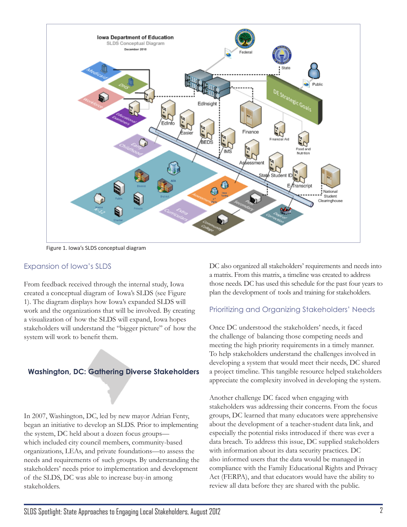

Figure 1. Iowa's SLDS conceptual diagram

## Expansion of Iowa's SLDS

From feedback received through the internal study, Iowa created a conceptual diagram of Iowa's SLDS (see Figure 1). The diagram displays how Iowa's expanded SLDS will work and the organizations that will be involved. By creating a visualization of how the SLDS will expand, Iowa hopes stakeholders will understand the "bigger picture" of how the system will work to benefit them.

# **Washington, DC: Gathering Diverse Stakeholders**

In 2007, Washington, DC, led by new mayor Adrian Fenty, began an initiative to develop an SLDS. Prior to implementing the system, DC held about a dozen focus groups which included city council members, community-based organizations, LEAs, and private foundations—to assess the needs and requirements of such groups. By understanding the stakeholders' needs prior to implementation and development of the SLDS, DC was able to increase buy-in among stakeholders.

DC also organized all stakeholders' requirements and needs into a matrix. From this matrix, a timeline was created to address those needs. DC has used this schedule for the past four years to plan the development of tools and training for stakeholders.

## Prioritizing and Organizing Stakeholders' Needs

Once DC understood the stakeholders' needs, it faced the challenge of balancing those competing needs and meeting the high priority requirements in a timely manner. To help stakeholders understand the challenges involved in developing a system that would meet their needs, DC shared a project timeline. This tangible resource helped stakeholders appreciate the complexity involved in developing the system.

Another challenge DC faced when engaging with stakeholders was addressing their concerns. From the focus groups, DC learned that many educators were apprehensive about the development of a teacher-student data link, and especially the potential risks introduced if there was ever a data breach. To address this issue, DC supplied stakeholders with information about its data security practices. DC also informed users that the data would be managed in compliance with the Family Educational Rights and Privacy Act (FERPA), and that educators would have the ability to review all data before they are shared with the public.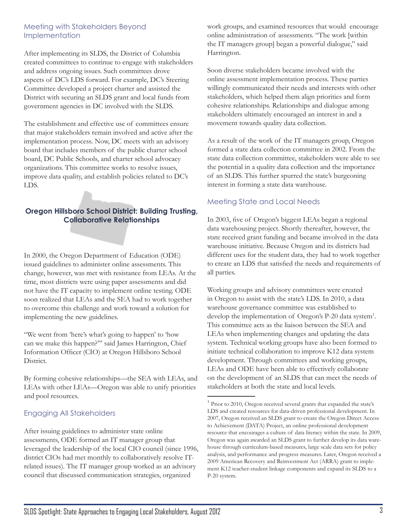#### Meeting with Stakeholders Beyond Implementation

After implementing its SLDS, the District of Columbia created committees to continue to engage with stakeholders and address ongoing issues. Such committees drove aspects of DC's LDS forward. For example, DC's Steering Committee developed a project charter and assisted the District with securing an SLDS grant and local funds from government agencies in DC involved with the SLDS.

The establishment and effective use of committees ensure that major stakeholders remain involved and active after the implementation process. Now, DC meets with an advisory board that includes members of the public charter school board, DC Public Schools, and charter school advocacy organizations. This committee works to resolve issues, improve data quality, and establish policies related to DC's LDS.

## **Oregon Hillsboro School District: Building Trusting, Collaborative Relationships**

In 2000, the Oregon Department of Education (ODE) issued guidelines to administer online assessments. This change, however, was met with resistance from LEAs. At the time, most districts were using paper assessments and did not have the IT capacity to implement online testing. ODE soon realized that LEAs and the SEA had to work together to overcome this challenge and work toward a solution for implementing the new guidelines.

"We went from 'here's what's going to happen' to 'how can we make this happen?'" said James Harrington, Chief Information Officer (CIO) at Oregon Hillsboro School District.

By forming cohesive relationships—the SEA with LEAs, and LEAs with other LEAs—Oregon was able to unify priorities and pool resources.

# Engaging All Stakeholders

After issuing guidelines to administer state online assessments, ODE formed an IT manager group that leveraged the leadership of the local CIO council (since 1996, district CIOs had met monthly to collaboratively resolve ITrelated issues). The IT manager group worked as an advisory council that discussed communication strategies, organized

work groups, and examined resources that would encourage online administration of assessments. "The work [within the IT managers group] began a powerful dialogue," said Harrington.

Soon diverse stakeholders became involved with the online assessment implementation process. These parties willingly communicated their needs and interests with other stakeholders, which helped them align priorities and form cohesive relationships. Relationships and dialogue among stakeholders ultimately encouraged an interest in and a movement towards quality data collection.

As a result of the work of the IT managers group, Oregon formed a state data collection committee in 2002. From the state data collection committee, stakeholders were able to see the potential in a quality data collection and the importance of an SLDS. This further spurred the state's burgeoning interest in forming a state data warehouse.

## Meeting State and Local Needs

In 2003, five of Oregon's biggest LEAs began a regional data warehousing project. Shortly thereafter, however, the state received grant funding and became involved in the data warehouse initiative. Because Oregon and its districts had different uses for the student data, they had to work together to create an LDS that satisfied the needs and requirements of all parties.

Working groups and advisory committees were created in Oregon to assist with the state's LDS. In 2010, a data warehouse governance committee was established to develop the implementation of Oregon's P-20 data system<sup>1</sup>. This committee acts as the liaison between the SEA and LEAs when implementing changes and updating the data system. Technical working groups have also been formed to initiate technical collaboration to improve K12 data system development. Through committees and working groups, LEAs and ODE have been able to effectively collaborate on the development of an SLDS that can meet the needs of stakeholders at both the state and local levels.

<sup>&</sup>lt;sup>1</sup> Prior to 2010, Oregon received several grants that expanded the state's LDS and created resources for data-driven professional development. In 2007, Oregon received an SLDS grant to create the Oregon Direct Access to Achievement (DATA) Project, an online professional development resource that encourages a culture of data literacy within the state. In 2009, Oregon was again awarded an SLDS grant to further develop its data warehouse through curriculum-based measures, large scale data sets for policy analysis, and performance and progress measures. Later, Oregon received a 2009 American Recovery and Reinvestment Act (ARRA) grant to implement K12 teacher-student linkage components and expand its SLDS to a P-20 system.